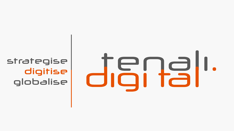strategise digitise globalise

# $\Box$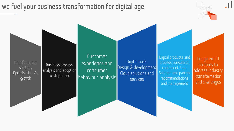## **we fuel your business transformation for digital age**



Transformation strategy Optimisation Vs. growth

Business process analysis and adoption for digital age

Customer experience and consumer behaviour analysis

Digital tools Design & development Cloud solutions and services

Digital products and process consulting, implementation. Solution and partner recommendations and management

Long-term IT strategy to address Industry transformation and challenges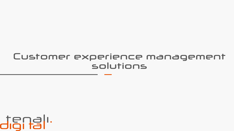# Customer experience management solutions

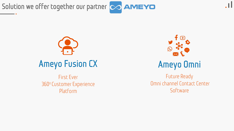**Solution we offer together our partner**



First Ever 360<sup>°</sup> Customer Experience Platform



# **Ameyo Omni**

Future Ready Omni channel Contact Center **Software**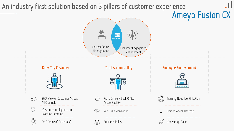# **An industry first solution based on 3 pillars of customer experience**

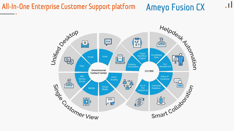# **All-In-One Enterprise Customer Support platform Ameyo Fusion CX**



<u>. II</u>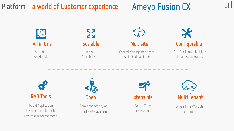# **Platform – a world of Customer experience**

# **Ameyo Fusion CX**

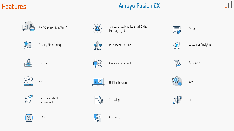

### **Ameyo Fusion CX**















 $\mathbb{Z}_{\ell}$ 





SLAs Connectors



Self Service ( IVR/Bots) Voice, Chat, Mobile, Email, SMS, Voice, Lnat, Mobile, Email, SMS,  $\sqrt{\frac{1}{\sqrt{2}}}$  Social Messaging, Bots





CX CRM  $\left(\begin{matrix} \bullet & \bullet \\ \bullet & \bullet \end{matrix}\right) = \begin{matrix} \bullet & \bullet \\ \bullet & \bullet \end{matrix}$  Case Management  $\left(\begin{matrix} \bullet & \bullet \\ \bullet & \bullet \end{matrix}\right)$  Feedback



Quality Monitoring Customer Analytics<br>  $\begin{matrix} 0 & 1 \ 0 & 0 \end{matrix}$  Intelligent Routing Customer Analytics<br>  $\begin{matrix} 0 & 0 \ 0 & 0 \end{matrix}$ 









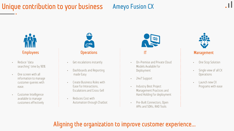# **Unique contribution to your business**

### **Ameyo Fusion CX**



- Reduce "data searching" time by 90%
- One screen with all information to manage customer queries with ease.
- Customer Intelligence available to manage customers effectively



- Get escalations instantly
- Dashboards and Reporting made Easy
- Create Business Rules with Ease for Interactions, Escalations and Cross-Sell
- Reduces Cost with Automation through Chatbot



- On-Premise and Private Cloud Models Available for Deployment
- 24x7 Support
- Industry Best Project Management Practices and Hand Holding for deployment
- Pre-Built Connectors, Open APIs and SDKs, RAD Tools



- One Stop Solution
- Single view of all CX **Operations**
- Launch new CX Programs with ease

### **Aligning the organization to improve customer experience…**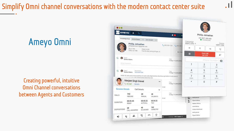# **Simplify Omni channel conversations with the modern contact center suite**

# **Ameyo Omni**

### **Creating powerful, intuitive Omni Channel conversations between Agents and Customers**

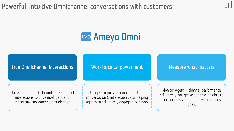**Powerful, intuitive Omnichannel conversations with customers**

# **Ameyo Omni**

**True Omnichannel Interactions**

**Workforce Empowerment**

### **Measure what matters**

Unify Inbound & Outbound cross channel interactions to drive intelligent and contextual customer communication

Intelligent representation of customer conversation & interaction data, helping agents to effectively engage customers

Monitor Agent / channel performance effectively and get actionable insights to align business operations with business goals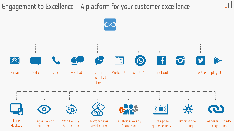### **Engagement to Excellence – A platform for your customer excellence**

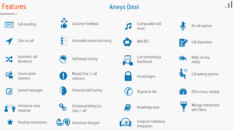### **Features**

### **Ameyo Omni**





Call recording **Customer feedback** Customer feedback Configurable hold





Click-to-call  $\begin{vmatrix} 1 & - \ 0 & - \end{vmatrix}$  Actionable Interaction listing Web RTC





KA

 $\odot$ 

Call disposition

Reply via any

media

On call options



Automatic call



Missed Chat / call



Conversation resolvers









U

Canned messages  $\overline{\mathbb{R}}$  Enhanced skill routing  $\qquad\qquad\qquad$  Dispose & dial

response









Prioritise interactions **Interaction designer** Computer telephony



Automatic call **School Constitution** Skill based routing the state of the second time in the second of the second<br>distributor distributor Dashboard



solutions Forced logins







Integration



Knowledge base





Office hours module